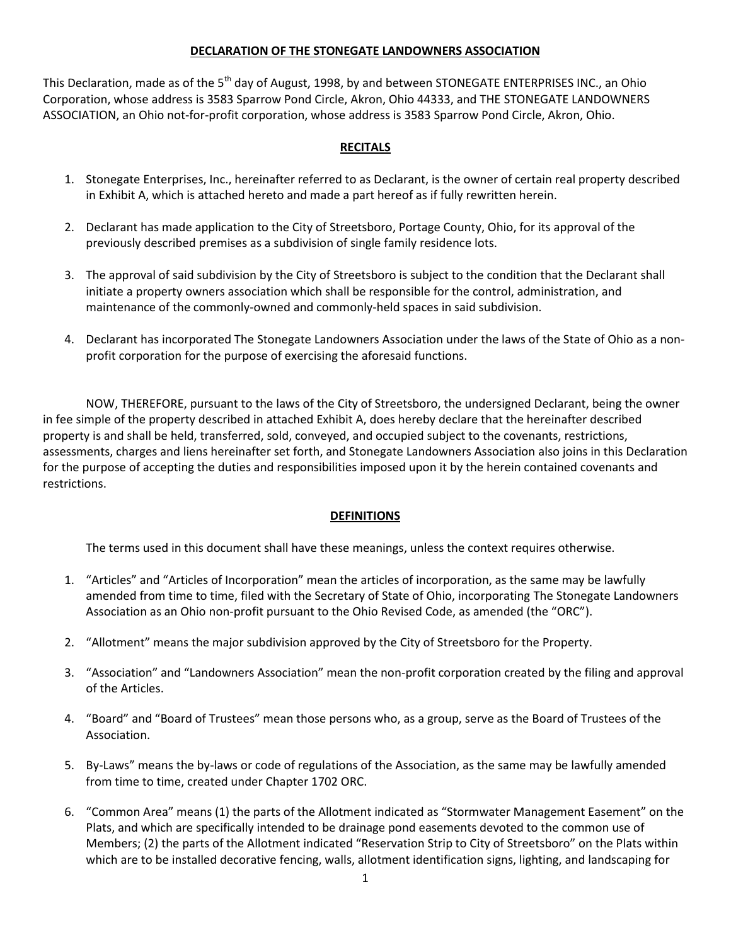### **DECLARATION OF THE STONEGATE LANDOWNERS ASSOCIATION**

This Declaration, made as of the 5<sup>th</sup> day of August, 1998, by and between STONEGATE ENTERPRISES INC., an Ohio Corporation, whose address is 3583 Sparrow Pond Circle, Akron, Ohio 44333, and THE STONEGATE LANDOWNERS ASSOCIATION, an Ohio not-for-profit corporation, whose address is 3583 Sparrow Pond Circle, Akron, Ohio.

# **RECITALS**

- 1. Stonegate Enterprises, Inc., hereinafter referred to as Declarant, is the owner of certain real property described in Exhibit A, which is attached hereto and made a part hereof as if fully rewritten herein.
- 2. Declarant has made application to the City of Streetsboro, Portage County, Ohio, for its approval of the previously described premises as a subdivision of single family residence lots.
- 3. The approval of said subdivision by the City of Streetsboro is subject to the condition that the Declarant shall initiate a property owners association which shall be responsible for the control, administration, and maintenance of the commonly-owned and commonly-held spaces in said subdivision.
- 4. Declarant has incorporated The Stonegate Landowners Association under the laws of the State of Ohio as a nonprofit corporation for the purpose of exercising the aforesaid functions.

NOW, THEREFORE, pursuant to the laws of the City of Streetsboro, the undersigned Declarant, being the owner in fee simple of the property described in attached Exhibit A, does hereby declare that the hereinafter described property is and shall be held, transferred, sold, conveyed, and occupied subject to the covenants, restrictions, assessments, charges and liens hereinafter set forth, and Stonegate Landowners Association also joins in this Declaration for the purpose of accepting the duties and responsibilities imposed upon it by the herein contained covenants and restrictions.

### **DEFINITIONS**

The terms used in this document shall have these meanings, unless the context requires otherwise.

- 1. "Articles" and "Articles of Incorporation" mean the articles of incorporation, as the same may be lawfully amended from time to time, filed with the Secretary of State of Ohio, incorporating The Stonegate Landowners Association as an Ohio non-profit pursuant to the Ohio Revised Code, as amended (the "ORC").
- 2. "Allotment" means the major subdivision approved by the City of Streetsboro for the Property.
- 3. "Association" and "Landowners Association" mean the non-profit corporation created by the filing and approval of the Articles.
- 4. "Board" and "Board of Trustees" mean those persons who, as a group, serve as the Board of Trustees of the Association.
- 5. By-Laws" means the by-laws or code of regulations of the Association, as the same may be lawfully amended from time to time, created under Chapter 1702 ORC.
- 6. "Common Area" means (1) the parts of the Allotment indicated as "Stormwater Management Easement" on the Plats, and which are specifically intended to be drainage pond easements devoted to the common use of Members; (2) the parts of the Allotment indicated "Reservation Strip to City of Streetsboro" on the Plats within which are to be installed decorative fencing, walls, allotment identification signs, lighting, and landscaping for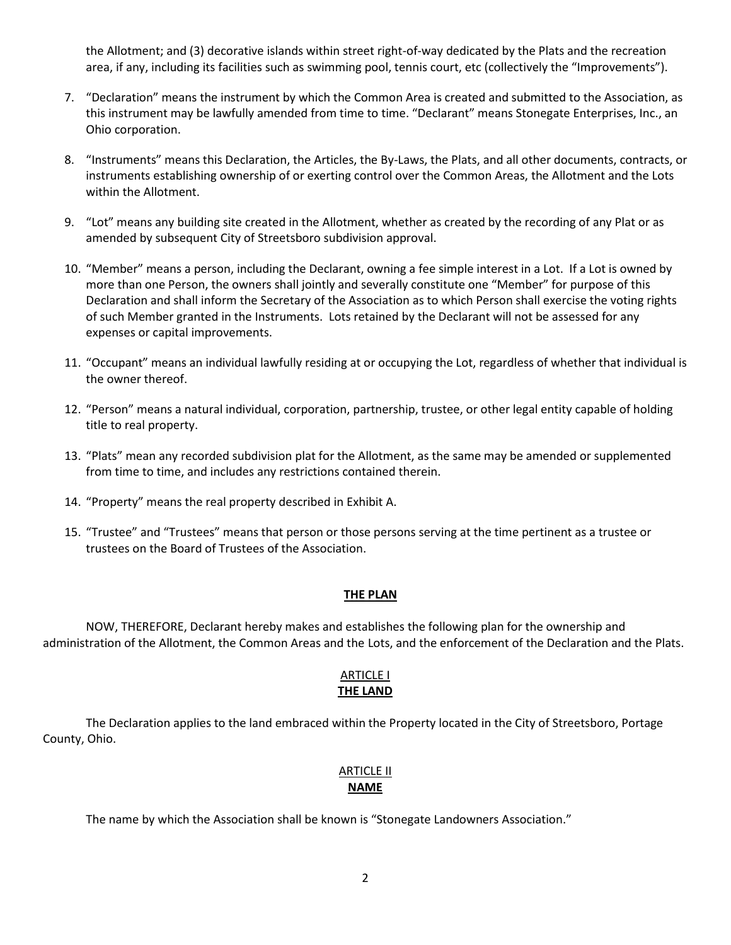the Allotment; and (3) decorative islands within street right-of-way dedicated by the Plats and the recreation area, if any, including its facilities such as swimming pool, tennis court, etc (collectively the "Improvements").

- 7. "Declaration" means the instrument by which the Common Area is created and submitted to the Association, as this instrument may be lawfully amended from time to time. "Declarant" means Stonegate Enterprises, Inc., an Ohio corporation.
- 8. "Instruments" means this Declaration, the Articles, the By-Laws, the Plats, and all other documents, contracts, or instruments establishing ownership of or exerting control over the Common Areas, the Allotment and the Lots within the Allotment.
- 9. "Lot" means any building site created in the Allotment, whether as created by the recording of any Plat or as amended by subsequent City of Streetsboro subdivision approval.
- 10. "Member" means a person, including the Declarant, owning a fee simple interest in a Lot. If a Lot is owned by more than one Person, the owners shall jointly and severally constitute one "Member" for purpose of this Declaration and shall inform the Secretary of the Association as to which Person shall exercise the voting rights of such Member granted in the Instruments. Lots retained by the Declarant will not be assessed for any expenses or capital improvements.
- 11. "Occupant" means an individual lawfully residing at or occupying the Lot, regardless of whether that individual is the owner thereof.
- 12. "Person" means a natural individual, corporation, partnership, trustee, or other legal entity capable of holding title to real property.
- 13. "Plats" mean any recorded subdivision plat for the Allotment, as the same may be amended or supplemented from time to time, and includes any restrictions contained therein.
- 14. "Property" means the real property described in Exhibit A.
- 15. "Trustee" and "Trustees" means that person or those persons serving at the time pertinent as a trustee or trustees on the Board of Trustees of the Association.

#### **THE PLAN**

NOW, THEREFORE, Declarant hereby makes and establishes the following plan for the ownership and administration of the Allotment, the Common Areas and the Lots, and the enforcement of the Declaration and the Plats.

#### ARTICLE I **THE LAND**

The Declaration applies to the land embraced within the Property located in the City of Streetsboro, Portage County, Ohio.

#### ARTICLE II **NAME**

The name by which the Association shall be known is "Stonegate Landowners Association."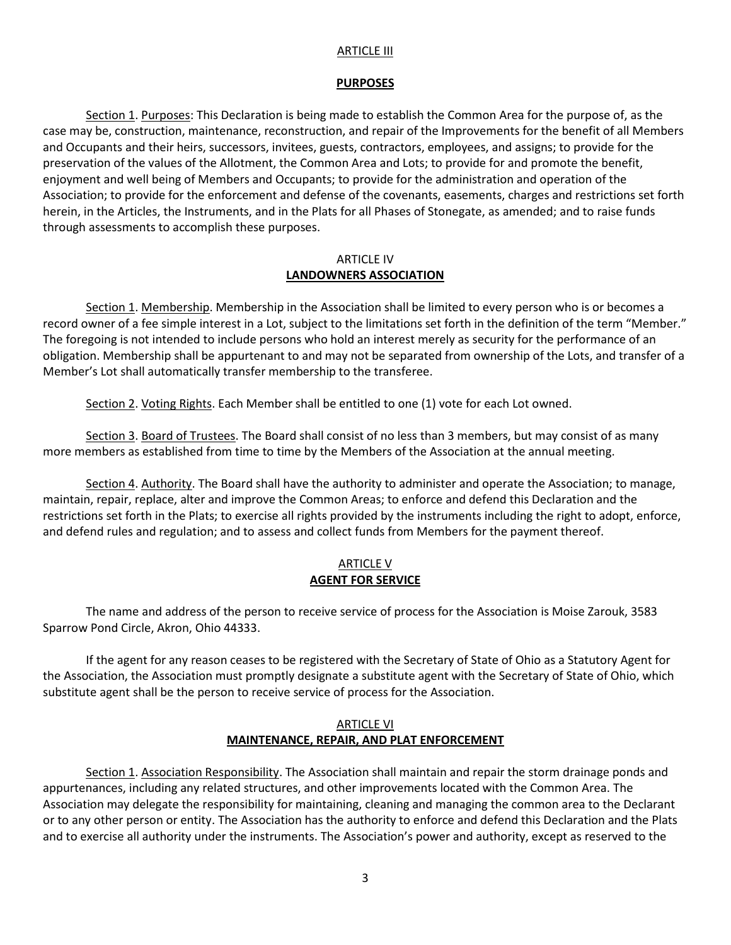#### **ARTICLE III**

#### **PURPOSES**

Section 1. Purposes: This Declaration is being made to establish the Common Area for the purpose of, as the case may be, construction, maintenance, reconstruction, and repair of the Improvements for the benefit of all Members and Occupants and their heirs, successors, invitees, guests, contractors, employees, and assigns; to provide for the preservation of the values of the Allotment, the Common Area and Lots; to provide for and promote the benefit, enjoyment and well being of Members and Occupants; to provide for the administration and operation of the Association; to provide for the enforcement and defense of the covenants, easements, charges and restrictions set forth herein, in the Articles, the Instruments, and in the Plats for all Phases of Stonegate, as amended; and to raise funds through assessments to accomplish these purposes.

#### ARTICLE IV **LANDOWNERS ASSOCIATION**

Section 1. Membership. Membership in the Association shall be limited to every person who is or becomes a record owner of a fee simple interest in a Lot, subject to the limitations set forth in the definition of the term "Member." The foregoing is not intended to include persons who hold an interest merely as security for the performance of an obligation. Membership shall be appurtenant to and may not be separated from ownership of the Lots, and transfer of a Member's Lot shall automatically transfer membership to the transferee.

Section 2. Voting Rights. Each Member shall be entitled to one (1) vote for each Lot owned.

Section 3. Board of Trustees. The Board shall consist of no less than 3 members, but may consist of as many more members as established from time to time by the Members of the Association at the annual meeting.

Section 4. Authority. The Board shall have the authority to administer and operate the Association; to manage, maintain, repair, replace, alter and improve the Common Areas; to enforce and defend this Declaration and the restrictions set forth in the Plats; to exercise all rights provided by the instruments including the right to adopt, enforce, and defend rules and regulation; and to assess and collect funds from Members for the payment thereof.

### ARTICLE V **AGENT FOR SERVICE**

The name and address of the person to receive service of process for the Association is Moise Zarouk, 3583 Sparrow Pond Circle, Akron, Ohio 44333.

If the agent for any reason ceases to be registered with the Secretary of State of Ohio as a Statutory Agent for the Association, the Association must promptly designate a substitute agent with the Secretary of State of Ohio, which substitute agent shall be the person to receive service of process for the Association.

### ARTICLE VI **MAINTENANCE, REPAIR, AND PLAT ENFORCEMENT**

Section 1. Association Responsibility. The Association shall maintain and repair the storm drainage ponds and appurtenances, including any related structures, and other improvements located with the Common Area. The Association may delegate the responsibility for maintaining, cleaning and managing the common area to the Declarant or to any other person or entity. The Association has the authority to enforce and defend this Declaration and the Plats and to exercise all authority under the instruments. The Association's power and authority, except as reserved to the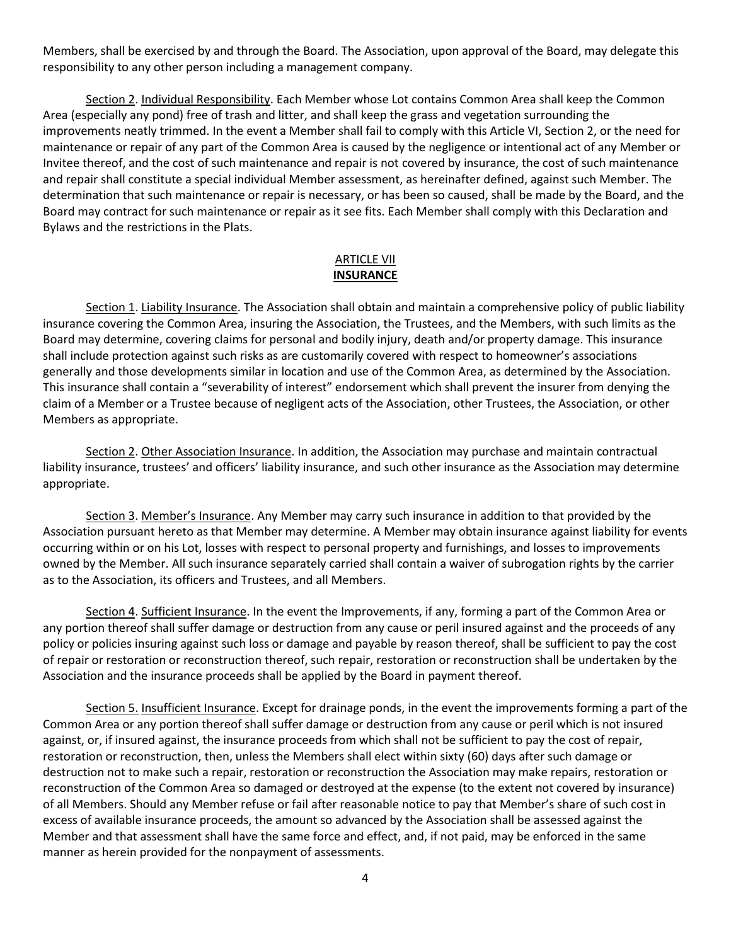Members, shall be exercised by and through the Board. The Association, upon approval of the Board, may delegate this responsibility to any other person including a management company.

Section 2. Individual Responsibility. Each Member whose Lot contains Common Area shall keep the Common Area (especially any pond) free of trash and litter, and shall keep the grass and vegetation surrounding the improvements neatly trimmed. In the event a Member shall fail to comply with this Article VI, Section 2, or the need for maintenance or repair of any part of the Common Area is caused by the negligence or intentional act of any Member or Invitee thereof, and the cost of such maintenance and repair is not covered by insurance, the cost of such maintenance and repair shall constitute a special individual Member assessment, as hereinafter defined, against such Member. The determination that such maintenance or repair is necessary, or has been so caused, shall be made by the Board, and the Board may contract for such maintenance or repair as it see fits. Each Member shall comply with this Declaration and Bylaws and the restrictions in the Plats.

## ARTICLE VII **INSURANCE**

Section 1. Liability Insurance. The Association shall obtain and maintain a comprehensive policy of public liability insurance covering the Common Area, insuring the Association, the Trustees, and the Members, with such limits as the Board may determine, covering claims for personal and bodily injury, death and/or property damage. This insurance shall include protection against such risks as are customarily covered with respect to homeowner's associations generally and those developments similar in location and use of the Common Area, as determined by the Association. This insurance shall contain a "severability of interest" endorsement which shall prevent the insurer from denying the claim of a Member or a Trustee because of negligent acts of the Association, other Trustees, the Association, or other Members as appropriate.

Section 2. Other Association Insurance. In addition, the Association may purchase and maintain contractual liability insurance, trustees' and officers' liability insurance, and such other insurance as the Association may determine appropriate.

Section 3. Member's Insurance. Any Member may carry such insurance in addition to that provided by the Association pursuant hereto as that Member may determine. A Member may obtain insurance against liability for events occurring within or on his Lot, losses with respect to personal property and furnishings, and losses to improvements owned by the Member. All such insurance separately carried shall contain a waiver of subrogation rights by the carrier as to the Association, its officers and Trustees, and all Members.

Section 4. Sufficient Insurance. In the event the Improvements, if any, forming a part of the Common Area or any portion thereof shall suffer damage or destruction from any cause or peril insured against and the proceeds of any policy or policies insuring against such loss or damage and payable by reason thereof, shall be sufficient to pay the cost of repair or restoration or reconstruction thereof, such repair, restoration or reconstruction shall be undertaken by the Association and the insurance proceeds shall be applied by the Board in payment thereof.

Section 5. Insufficient Insurance. Except for drainage ponds, in the event the improvements forming a part of the Common Area or any portion thereof shall suffer damage or destruction from any cause or peril which is not insured against, or, if insured against, the insurance proceeds from which shall not be sufficient to pay the cost of repair, restoration or reconstruction, then, unless the Members shall elect within sixty (60) days after such damage or destruction not to make such a repair, restoration or reconstruction the Association may make repairs, restoration or reconstruction of the Common Area so damaged or destroyed at the expense (to the extent not covered by insurance) of all Members. Should any Member refuse or fail after reasonable notice to pay that Member's share of such cost in excess of available insurance proceeds, the amount so advanced by the Association shall be assessed against the Member and that assessment shall have the same force and effect, and, if not paid, may be enforced in the same manner as herein provided for the nonpayment of assessments.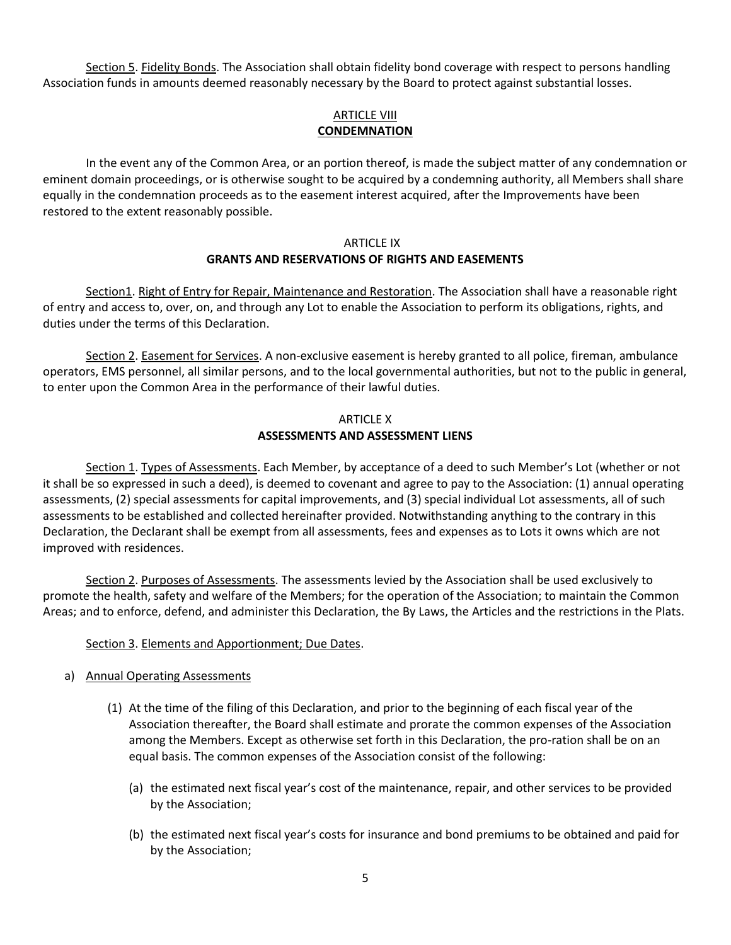Section 5. Fidelity Bonds. The Association shall obtain fidelity bond coverage with respect to persons handling Association funds in amounts deemed reasonably necessary by the Board to protect against substantial losses.

## ARTICLE VIII **CONDEMNATION**

In the event any of the Common Area, or an portion thereof, is made the subject matter of any condemnation or eminent domain proceedings, or is otherwise sought to be acquired by a condemning authority, all Members shall share equally in the condemnation proceeds as to the easement interest acquired, after the Improvements have been restored to the extent reasonably possible.

### ARTICLE IX **GRANTS AND RESERVATIONS OF RIGHTS AND EASEMENTS**

Section1. Right of Entry for Repair, Maintenance and Restoration. The Association shall have a reasonable right of entry and access to, over, on, and through any Lot to enable the Association to perform its obligations, rights, and duties under the terms of this Declaration.

Section 2. Easement for Services. A non-exclusive easement is hereby granted to all police, fireman, ambulance operators, EMS personnel, all similar persons, and to the local governmental authorities, but not to the public in general, to enter upon the Common Area in the performance of their lawful duties.

# ARTICLE X **ASSESSMENTS AND ASSESSMENT LIENS**

Section 1. Types of Assessments. Each Member, by acceptance of a deed to such Member's Lot (whether or not it shall be so expressed in such a deed), is deemed to covenant and agree to pay to the Association: (1) annual operating assessments, (2) special assessments for capital improvements, and (3) special individual Lot assessments, all of such assessments to be established and collected hereinafter provided. Notwithstanding anything to the contrary in this Declaration, the Declarant shall be exempt from all assessments, fees and expenses as to Lots it owns which are not improved with residences.

Section 2. Purposes of Assessments. The assessments levied by the Association shall be used exclusively to promote the health, safety and welfare of the Members; for the operation of the Association; to maintain the Common Areas; and to enforce, defend, and administer this Declaration, the By Laws, the Articles and the restrictions in the Plats.

# Section 3. Elements and Apportionment; Due Dates.

### a) Annual Operating Assessments

- (1) At the time of the filing of this Declaration, and prior to the beginning of each fiscal year of the Association thereafter, the Board shall estimate and prorate the common expenses of the Association among the Members. Except as otherwise set forth in this Declaration, the pro-ration shall be on an equal basis. The common expenses of the Association consist of the following:
	- (a) the estimated next fiscal year's cost of the maintenance, repair, and other services to be provided by the Association;
	- (b) the estimated next fiscal year's costs for insurance and bond premiums to be obtained and paid for by the Association;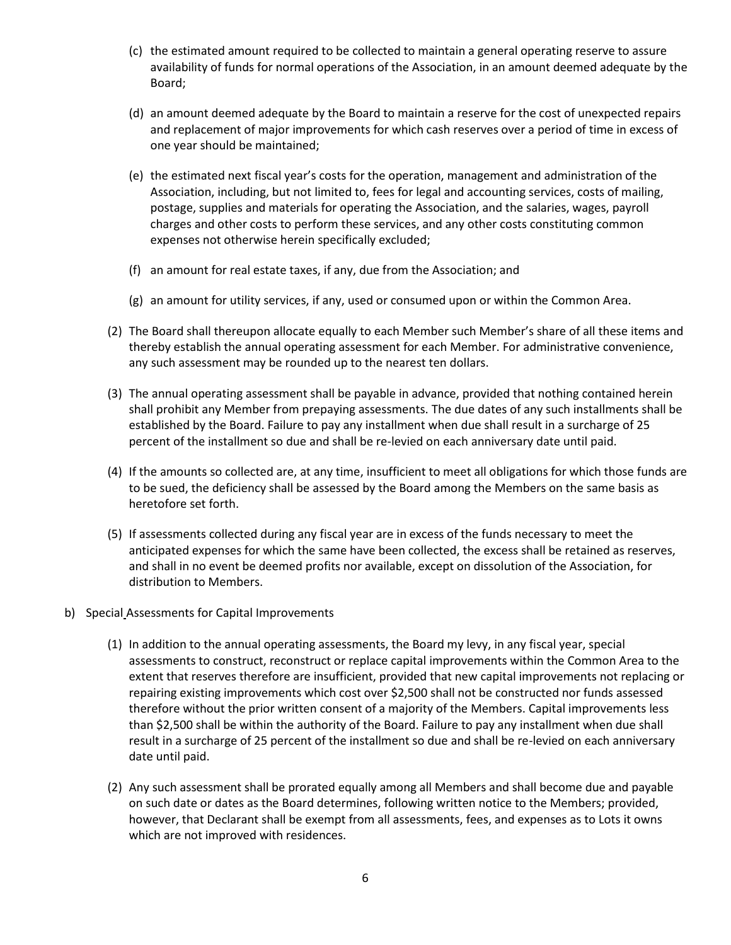- (c) the estimated amount required to be collected to maintain a general operating reserve to assure availability of funds for normal operations of the Association, in an amount deemed adequate by the Board;
- (d) an amount deemed adequate by the Board to maintain a reserve for the cost of unexpected repairs and replacement of major improvements for which cash reserves over a period of time in excess of one year should be maintained;
- (e) the estimated next fiscal year's costs for the operation, management and administration of the Association, including, but not limited to, fees for legal and accounting services, costs of mailing, postage, supplies and materials for operating the Association, and the salaries, wages, payroll charges and other costs to perform these services, and any other costs constituting common expenses not otherwise herein specifically excluded;
- (f) an amount for real estate taxes, if any, due from the Association; and
- (g) an amount for utility services, if any, used or consumed upon or within the Common Area.
- (2) The Board shall thereupon allocate equally to each Member such Member's share of all these items and thereby establish the annual operating assessment for each Member. For administrative convenience, any such assessment may be rounded up to the nearest ten dollars.
- (3) The annual operating assessment shall be payable in advance, provided that nothing contained herein shall prohibit any Member from prepaying assessments. The due dates of any such installments shall be established by the Board. Failure to pay any installment when due shall result in a surcharge of 25 percent of the installment so due and shall be re-levied on each anniversary date until paid.
- (4) If the amounts so collected are, at any time, insufficient to meet all obligations for which those funds are to be sued, the deficiency shall be assessed by the Board among the Members on the same basis as heretofore set forth.
- (5) If assessments collected during any fiscal year are in excess of the funds necessary to meet the anticipated expenses for which the same have been collected, the excess shall be retained as reserves, and shall in no event be deemed profits nor available, except on dissolution of the Association, for distribution to Members.
- b) Special Assessments for Capital Improvements
	- (1) In addition to the annual operating assessments, the Board my levy, in any fiscal year, special assessments to construct, reconstruct or replace capital improvements within the Common Area to the extent that reserves therefore are insufficient, provided that new capital improvements not replacing or repairing existing improvements which cost over \$2,500 shall not be constructed nor funds assessed therefore without the prior written consent of a majority of the Members. Capital improvements less than \$2,500 shall be within the authority of the Board. Failure to pay any installment when due shall result in a surcharge of 25 percent of the installment so due and shall be re-levied on each anniversary date until paid.
	- (2) Any such assessment shall be prorated equally among all Members and shall become due and payable on such date or dates as the Board determines, following written notice to the Members; provided, however, that Declarant shall be exempt from all assessments, fees, and expenses as to Lots it owns which are not improved with residences.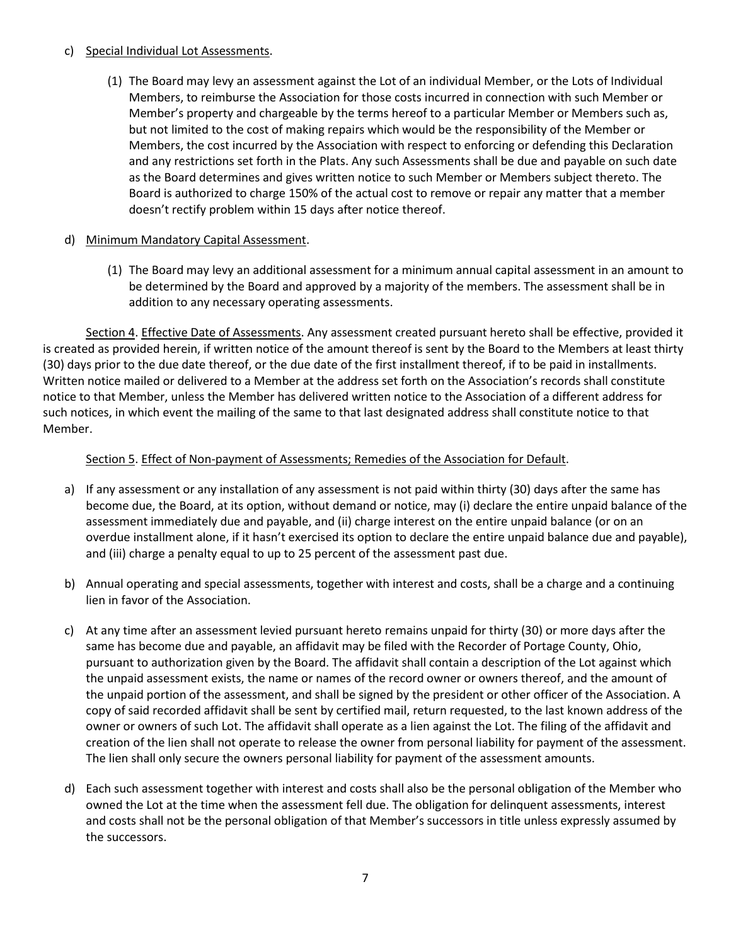## c) Special Individual Lot Assessments.

(1) The Board may levy an assessment against the Lot of an individual Member, or the Lots of Individual Members, to reimburse the Association for those costs incurred in connection with such Member or Member's property and chargeable by the terms hereof to a particular Member or Members such as, but not limited to the cost of making repairs which would be the responsibility of the Member or Members, the cost incurred by the Association with respect to enforcing or defending this Declaration and any restrictions set forth in the Plats. Any such Assessments shall be due and payable on such date as the Board determines and gives written notice to such Member or Members subject thereto. The Board is authorized to charge 150% of the actual cost to remove or repair any matter that a member doesn't rectify problem within 15 days after notice thereof.

## d) Minimum Mandatory Capital Assessment.

(1) The Board may levy an additional assessment for a minimum annual capital assessment in an amount to be determined by the Board and approved by a majority of the members. The assessment shall be in addition to any necessary operating assessments.

Section 4. Effective Date of Assessments. Any assessment created pursuant hereto shall be effective, provided it is created as provided herein, if written notice of the amount thereof is sent by the Board to the Members at least thirty (30) days prior to the due date thereof, or the due date of the first installment thereof, if to be paid in installments. Written notice mailed or delivered to a Member at the address set forth on the Association's records shall constitute notice to that Member, unless the Member has delivered written notice to the Association of a different address for such notices, in which event the mailing of the same to that last designated address shall constitute notice to that Member.

# Section 5. Effect of Non-payment of Assessments; Remedies of the Association for Default.

- a) If any assessment or any installation of any assessment is not paid within thirty (30) days after the same has become due, the Board, at its option, without demand or notice, may (i) declare the entire unpaid balance of the assessment immediately due and payable, and (ii) charge interest on the entire unpaid balance (or on an overdue installment alone, if it hasn't exercised its option to declare the entire unpaid balance due and payable), and (iii) charge a penalty equal to up to 25 percent of the assessment past due.
- b) Annual operating and special assessments, together with interest and costs, shall be a charge and a continuing lien in favor of the Association.
- c) At any time after an assessment levied pursuant hereto remains unpaid for thirty (30) or more days after the same has become due and payable, an affidavit may be filed with the Recorder of Portage County, Ohio, pursuant to authorization given by the Board. The affidavit shall contain a description of the Lot against which the unpaid assessment exists, the name or names of the record owner or owners thereof, and the amount of the unpaid portion of the assessment, and shall be signed by the president or other officer of the Association. A copy of said recorded affidavit shall be sent by certified mail, return requested, to the last known address of the owner or owners of such Lot. The affidavit shall operate as a lien against the Lot. The filing of the affidavit and creation of the lien shall not operate to release the owner from personal liability for payment of the assessment. The lien shall only secure the owners personal liability for payment of the assessment amounts.
- d) Each such assessment together with interest and costs shall also be the personal obligation of the Member who owned the Lot at the time when the assessment fell due. The obligation for delinquent assessments, interest and costs shall not be the personal obligation of that Member's successors in title unless expressly assumed by the successors.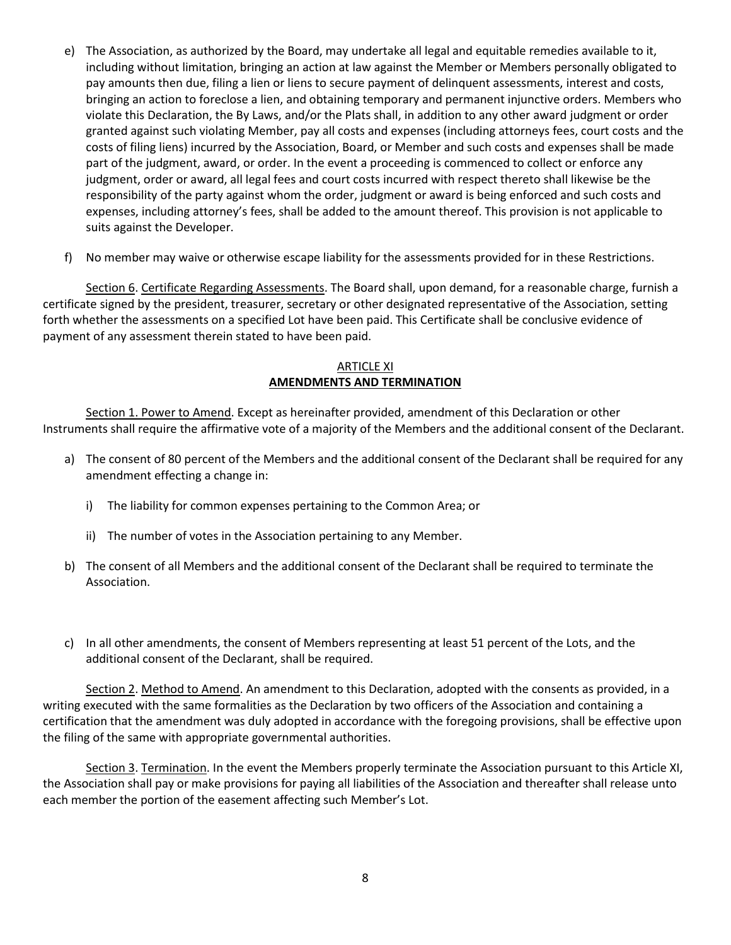- e) The Association, as authorized by the Board, may undertake all legal and equitable remedies available to it, including without limitation, bringing an action at law against the Member or Members personally obligated to pay amounts then due, filing a lien or liens to secure payment of delinquent assessments, interest and costs, bringing an action to foreclose a lien, and obtaining temporary and permanent injunctive orders. Members who violate this Declaration, the By Laws, and/or the Plats shall, in addition to any other award judgment or order granted against such violating Member, pay all costs and expenses (including attorneys fees, court costs and the costs of filing liens) incurred by the Association, Board, or Member and such costs and expenses shall be made part of the judgment, award, or order. In the event a proceeding is commenced to collect or enforce any judgment, order or award, all legal fees and court costs incurred with respect thereto shall likewise be the responsibility of the party against whom the order, judgment or award is being enforced and such costs and expenses, including attorney's fees, shall be added to the amount thereof. This provision is not applicable to suits against the Developer.
- f) No member may waive or otherwise escape liability for the assessments provided for in these Restrictions.

Section 6. Certificate Regarding Assessments. The Board shall, upon demand, for a reasonable charge, furnish a certificate signed by the president, treasurer, secretary or other designated representative of the Association, setting forth whether the assessments on a specified Lot have been paid. This Certificate shall be conclusive evidence of payment of any assessment therein stated to have been paid.

## ARTICLE XI **AMENDMENTS AND TERMINATION**

Section 1. Power to Amend. Except as hereinafter provided, amendment of this Declaration or other Instruments shall require the affirmative vote of a majority of the Members and the additional consent of the Declarant.

- a) The consent of 80 percent of the Members and the additional consent of the Declarant shall be required for any amendment effecting a change in:
	- i) The liability for common expenses pertaining to the Common Area; or
	- ii) The number of votes in the Association pertaining to any Member.
- b) The consent of all Members and the additional consent of the Declarant shall be required to terminate the Association.
- c) In all other amendments, the consent of Members representing at least 51 percent of the Lots, and the additional consent of the Declarant, shall be required.

Section 2. Method to Amend. An amendment to this Declaration, adopted with the consents as provided, in a writing executed with the same formalities as the Declaration by two officers of the Association and containing a certification that the amendment was duly adopted in accordance with the foregoing provisions, shall be effective upon the filing of the same with appropriate governmental authorities.

Section 3. Termination. In the event the Members properly terminate the Association pursuant to this Article XI, the Association shall pay or make provisions for paying all liabilities of the Association and thereafter shall release unto each member the portion of the easement affecting such Member's Lot.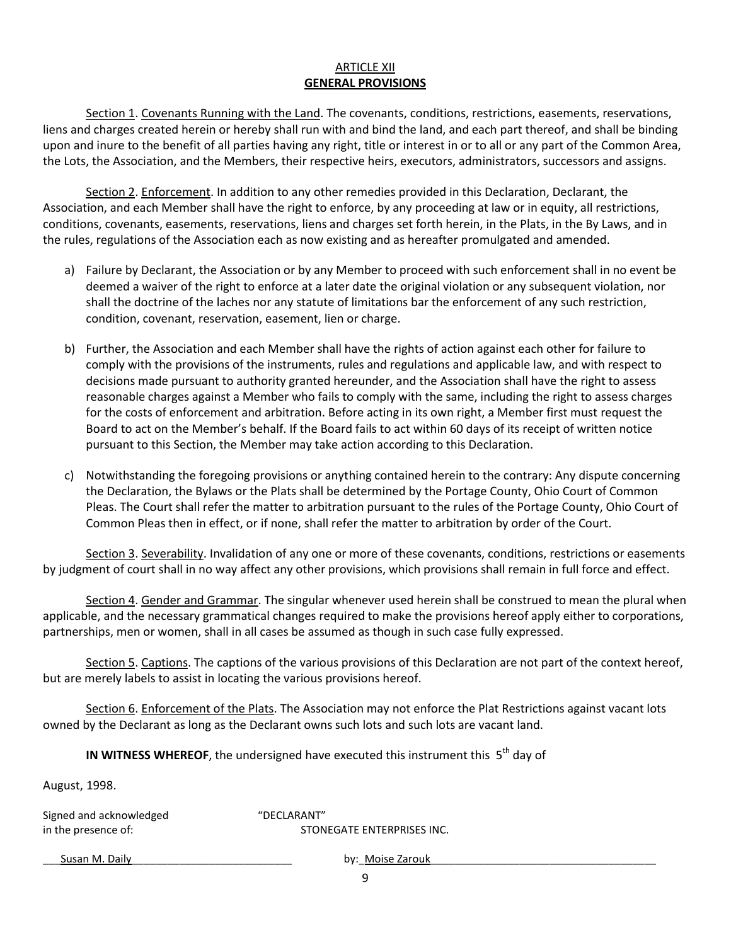# ARTICLE XII **GENERAL PROVISIONS**

Section 1. Covenants Running with the Land. The covenants, conditions, restrictions, easements, reservations, liens and charges created herein or hereby shall run with and bind the land, and each part thereof, and shall be binding upon and inure to the benefit of all parties having any right, title or interest in or to all or any part of the Common Area, the Lots, the Association, and the Members, their respective heirs, executors, administrators, successors and assigns.

Section 2. Enforcement. In addition to any other remedies provided in this Declaration, Declarant, the Association, and each Member shall have the right to enforce, by any proceeding at law or in equity, all restrictions, conditions, covenants, easements, reservations, liens and charges set forth herein, in the Plats, in the By Laws, and in the rules, regulations of the Association each as now existing and as hereafter promulgated and amended.

- a) Failure by Declarant, the Association or by any Member to proceed with such enforcement shall in no event be deemed a waiver of the right to enforce at a later date the original violation or any subsequent violation, nor shall the doctrine of the laches nor any statute of limitations bar the enforcement of any such restriction, condition, covenant, reservation, easement, lien or charge.
- b) Further, the Association and each Member shall have the rights of action against each other for failure to comply with the provisions of the instruments, rules and regulations and applicable law, and with respect to decisions made pursuant to authority granted hereunder, and the Association shall have the right to assess reasonable charges against a Member who fails to comply with the same, including the right to assess charges for the costs of enforcement and arbitration. Before acting in its own right, a Member first must request the Board to act on the Member's behalf. If the Board fails to act within 60 days of its receipt of written notice pursuant to this Section, the Member may take action according to this Declaration.
- c) Notwithstanding the foregoing provisions or anything contained herein to the contrary: Any dispute concerning the Declaration, the Bylaws or the Plats shall be determined by the Portage County, Ohio Court of Common Pleas. The Court shall refer the matter to arbitration pursuant to the rules of the Portage County, Ohio Court of Common Pleas then in effect, or if none, shall refer the matter to arbitration by order of the Court.

Section 3. Severability. Invalidation of any one or more of these covenants, conditions, restrictions or easements by judgment of court shall in no way affect any other provisions, which provisions shall remain in full force and effect.

Section 4. Gender and Grammar. The singular whenever used herein shall be construed to mean the plural when applicable, and the necessary grammatical changes required to make the provisions hereof apply either to corporations, partnerships, men or women, shall in all cases be assumed as though in such case fully expressed.

Section 5. Captions. The captions of the various provisions of this Declaration are not part of the context hereof, but are merely labels to assist in locating the various provisions hereof.

Section 6. Enforcement of the Plats. The Association may not enforce the Plat Restrictions against vacant lots owned by the Declarant as long as the Declarant owns such lots and such lots are vacant land.

**IN WITNESS WHEREOF**, the undersigned have executed this instrument this 5<sup>th</sup> day of

August, 1998.

Signed and acknowledged "DECLARANT" in the presence of:  $S$  STONEGATE ENTERPRISES INC.

\_\_\_Susan M. Daily\_\_\_\_\_\_\_\_\_\_\_\_\_\_\_\_\_\_\_\_\_\_\_\_\_\_\_ by:\_Moise Zarouk\_\_\_\_\_\_\_\_\_\_\_\_\_\_\_\_\_\_\_\_\_\_\_\_\_\_\_\_\_\_\_\_\_\_\_\_\_\_